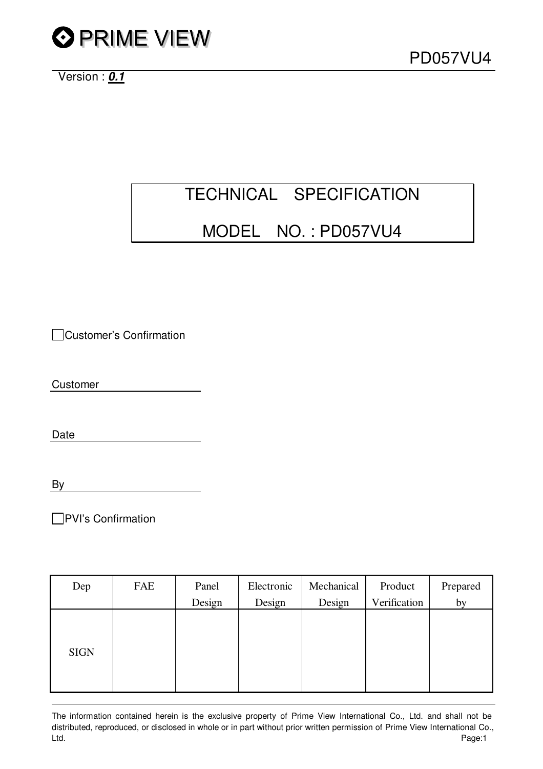

Version : **0.1**

# TECHNICAL SPECIFICATION

## MODEL NO. : PD057VU4

Customer's Confirmation

Customer

Date

By

**PVI's Confirmation** 

| FAE | Panel  | Electronic | Mechanical | Product      | Prepared |
|-----|--------|------------|------------|--------------|----------|
|     | Design | Design     | Design     | Verification | by       |
|     |        |            |            |              |          |
|     |        |            |            |              |          |
|     |        |            |            |              |          |
|     |        |            |            |              |          |
|     |        |            |            |              |          |
|     |        |            |            |              |          |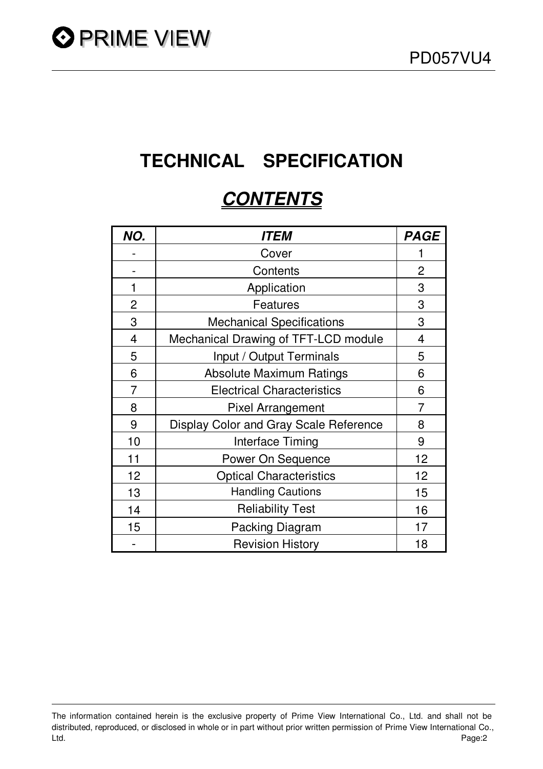# **TECHNICAL SPECIFICATION**

# **CONTENTS**

| NO.            | <i>ITEM</i>                            | <b>PAGE</b>    |
|----------------|----------------------------------------|----------------|
|                | Cover                                  |                |
|                | Contents                               | $\overline{2}$ |
| 1              | Application                            | 3              |
| $\overline{2}$ | Features                               | 3              |
| 3              | <b>Mechanical Specifications</b>       | 3              |
| $\overline{4}$ | Mechanical Drawing of TFT-LCD module   | 4              |
| 5              | Input / Output Terminals               | 5              |
| 6              | <b>Absolute Maximum Ratings</b>        | 6              |
| 7              | <b>Electrical Characteristics</b>      | 6              |
| 8              | <b>Pixel Arrangement</b>               | 7              |
| 9              | Display Color and Gray Scale Reference | 8              |
| 10             | Interface Timing                       | 9              |
| 11             | Power On Sequence                      | 12             |
| 12             | <b>Optical Characteristics</b>         | 12             |
| 13             | <b>Handling Cautions</b>               | 15             |
| 14             | <b>Reliability Test</b>                | 16             |
| 15             | Packing Diagram                        | 17             |
|                | <b>Revision History</b>                | 18             |

The information contained herein is the exclusive property of Prime View International Co., Ltd. and shall not be distributed, reproduced, or disclosed in whole or in part without prior written permission of Prime View International Co., Ltd. Page:2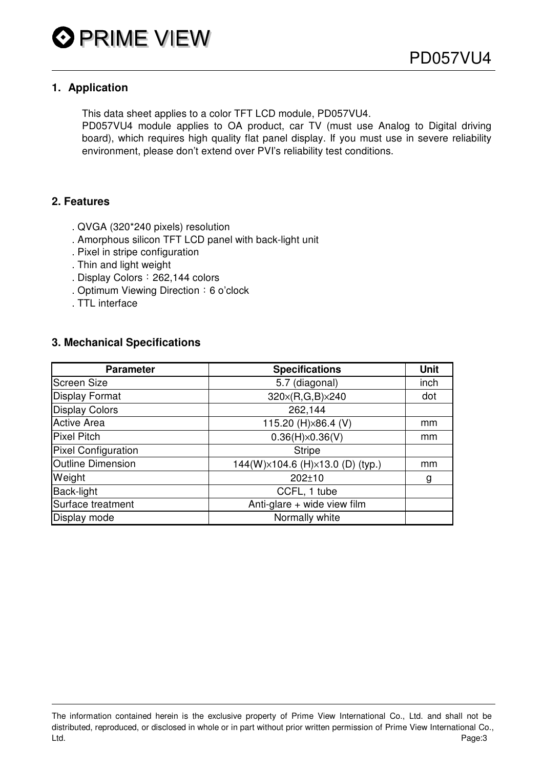## **1. Application**

This data sheet applies to a color TFT LCD module, PD057VU4.

PD057VU4 module applies to OA product, car TV (must use Analog to Digital driving board), which requires high quality flat panel display. If you must use in severe reliability environment, please don't extend over PVI's reliability test conditions.

## **2. Features**

- . QVGA (320\*240 pixels) resolution
- . Amorphous silicon TFT LCD panel with back-light unit
- . Pixel in stripe configuration
- . Thin and light weight
- . Display Colors: 262,144 colors
- . Optimum Viewing Direction: 6 o'clock
- . TTL interface

## **3. Mechanical Specifications**

| <b>Parameter</b>           | <b>Specifications</b>            | <b>Unit</b> |
|----------------------------|----------------------------------|-------------|
| <b>Screen Size</b>         | 5.7 (diagonal)                   | inch        |
| <b>Display Format</b>      | 320x(R,G,B)x240                  | dot         |
| <b>Display Colors</b>      | 262,144                          |             |
| <b>Active Area</b>         | 115.20 (H)×86.4 (V)              | mm          |
| <b>Pixel Pitch</b>         | $0.36(H) \times 0.36(V)$         | mm          |
| <b>Pixel Configuration</b> | <b>Stripe</b>                    |             |
| <b>Outline Dimension</b>   | 144(W)×104.6 (H)×13.0 (D) (typ.) | mm          |
| Weight                     | $202 + 10$                       | g           |
| Back-light                 | CCFL, 1 tube                     |             |
| Surface treatment          | Anti-glare + wide view film      |             |
| Display mode               | Normally white                   |             |

The information contained herein is the exclusive property of Prime View International Co., Ltd. and shall not be distributed, reproduced, or disclosed in whole or in part without prior written permission of Prime View International Co., Ltd. Page:3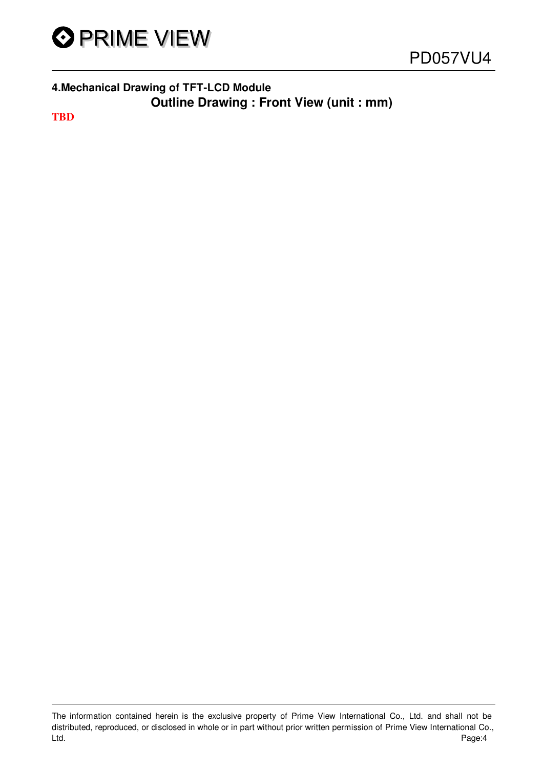

**4.Mechanical Drawing of TFT-LCD Module Outline Drawing : Front View (unit : mm)**

**TBD**

The information contained herein is the exclusive property of Prime View International Co., Ltd. and shall not be distributed, reproduced, or disclosed in whole or in part without prior written permission of Prime View International Co., Ltd. Page:4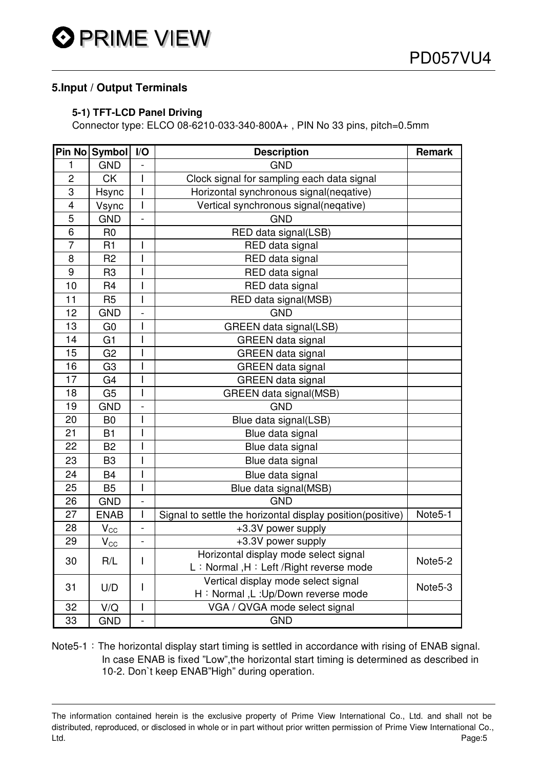## **5.Input / Output Terminals**

#### **5-1) TFT-LCD Panel Driving**

Connector type: ELCO 08-6210-033-340-800A+ , PIN No 33 pins, pitch=0.5mm

|    | Pin No Symbol                       | I/O                      | <b>Description</b>                                         | <b>Remark</b> |
|----|-------------------------------------|--------------------------|------------------------------------------------------------|---------------|
| 1  | <b>GND</b>                          |                          | <b>GND</b>                                                 |               |
| 2  | <b>CK</b>                           |                          | Clock signal for sampling each data signal                 |               |
| 3  | Hsync                               | Ī                        | Horizontal synchronous signal(neqative)                    |               |
| 4  | Vsync                               | I                        | Vertical synchronous signal(neqative)                      |               |
| 5  | <b>GND</b>                          | $\overline{a}$           | <b>GND</b>                                                 |               |
| 6  | R <sub>0</sub>                      |                          | RED data signal(LSB)                                       |               |
| 7  | R <sub>1</sub>                      |                          | RED data signal                                            |               |
| 8  | R <sub>2</sub>                      |                          | RED data signal                                            |               |
| 9  | R <sub>3</sub>                      |                          | RED data signal                                            |               |
| 10 | R <sub>4</sub>                      | I                        | RED data signal                                            |               |
| 11 | R <sub>5</sub>                      |                          | RED data signal(MSB)                                       |               |
| 12 | <b>GND</b>                          | $\overline{a}$           | <b>GND</b>                                                 |               |
| 13 | G <sub>0</sub>                      |                          | GREEN data signal(LSB)                                     |               |
| 14 | G <sub>1</sub>                      | Ī                        | <b>GREEN</b> data signal                                   |               |
| 15 | G <sub>2</sub>                      |                          | <b>GREEN</b> data signal                                   |               |
| 16 | G <sub>3</sub>                      | Ī                        | <b>GREEN</b> data signal                                   |               |
| 17 | G <sub>4</sub>                      |                          | <b>GREEN</b> data signal                                   |               |
| 18 | G <sub>5</sub>                      | I                        | GREEN data signal(MSB)                                     |               |
| 19 | <b>GND</b>                          |                          | <b>GND</b>                                                 |               |
| 20 | B <sub>0</sub>                      |                          | Blue data signal(LSB)                                      |               |
| 21 | <b>B1</b>                           |                          | Blue data signal                                           |               |
| 22 | B <sub>2</sub>                      |                          | Blue data signal                                           |               |
| 23 | B <sub>3</sub>                      | I                        | Blue data signal                                           |               |
| 24 | <b>B4</b>                           |                          | Blue data signal                                           |               |
| 25 | <b>B5</b>                           |                          | Blue data signal(MSB)                                      |               |
| 26 | <b>GND</b>                          | $\overline{\phantom{0}}$ | <b>GND</b>                                                 |               |
| 27 | <b>ENAB</b>                         | I                        | Signal to settle the horizontal display position(positive) | Note5-1       |
| 28 | $V_{\rm CC}$                        | $\overline{\phantom{0}}$ | +3.3V power supply                                         |               |
| 29 | $\mathsf{V}_{\mathsf{CC}}$          | -                        | +3.3V power supply                                         |               |
| 30 |                                     | I                        | Horizontal display mode select signal                      | Note5-2       |
|    | R/L                                 |                          | L: Normal, H: Left / Right reverse mode                    |               |
| 31 | Vertical display mode select signal |                          |                                                            | Note5-3       |
|    | U/D                                 | I                        | H: Normal, L: Up/Down reverse mode                         |               |
| 32 | V/Q                                 | $\overline{1}$           | VGA / QVGA mode select signal                              |               |
| 33 | <b>GND</b>                          |                          | <b>GND</b>                                                 |               |

Note5-1: The horizontal display start timing is settled in accordance with rising of ENAB signal. In case ENAB is fixed "Low",the horizontal start timing is determined as described in 10-2. Don`t keep ENAB"High" during operation.

The information contained herein is the exclusive property of Prime View International Co., Ltd. and shall not be distributed, reproduced, or disclosed in whole or in part without prior written permission of Prime View International Co., Ltd. Page:5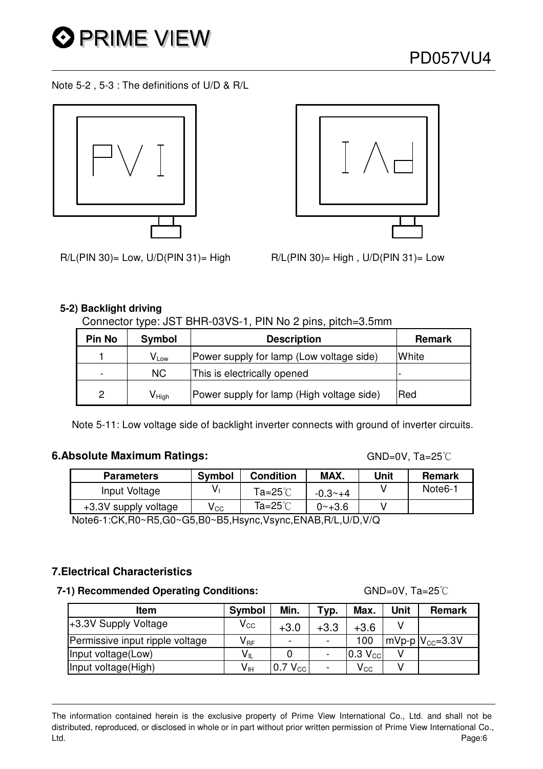Note 5-2 , 5-3 : The definitions of U/D & R/L





 $R/L(PIN 30) = Low$ ,  $U/D(PIN 31) = High$   $R/L(PIN 30) = High$ ,  $U/D(PIN 31) = Low$ 

## **5-2) Backlight driving**

## Connector type: JST BHR-03VS-1, PIN No 2 pins, pitch=3.5mm

| <b>Pin No</b> | <b>Symbol</b>                | <b>Description</b>                        | <b>Remark</b> |
|---------------|------------------------------|-------------------------------------------|---------------|
|               | $V_{Low}$                    | Power supply for lamp (Low voltage side)  | <b>White</b>  |
|               | <b>NC</b>                    | This is electrically opened               |               |
| 2             | $\mathsf{V}_{\mathsf{High}}$ | Power supply for lamp (High voltage side) | Red           |

Note 5-11: Low voltage side of backlight inverter connects with ground of inverter circuits.

## **6.Absolute Maximum Ratings:** GND=0V, Ta=25°C

| <b>Parameters</b>                            | <b>Symbol</b>              | <b>Condition</b>   | MAX.        | Unit | <b>Remark</b>        |
|----------------------------------------------|----------------------------|--------------------|-------------|------|----------------------|
| Input Voltage                                |                            | Ta=25 $^{\circ}$ C | $-0.3 - +4$ |      | Note <sub>6</sub> -1 |
| +3.3V supply voltage                         | $\mathsf{V}_{\mathsf{CC}}$ | Ta=25 $°C$         | $0$ $-+3.6$ |      |                      |
| $\mathbf{A}$ , a , all be be be a defined as |                            |                    |             |      |                      |

Note6-1:CK,R0~R5,G0~G5,B0~B5,Hsync,Vsync,ENAB,R/L,U/D,V/Q

## **7.Electrical Characteristics**

## **7-1)** Recommended Operating Conditions: GND=0V, Ta=25 $^{\circ}$ C

| ltem                            | <b>Symbol</b>              | Min.                     | ⊤ур.                     | Max.                            | <b>Unit</b> | <b>Remark</b>        |
|---------------------------------|----------------------------|--------------------------|--------------------------|---------------------------------|-------------|----------------------|
| +3.3V Supply Voltage            | $\mathsf{V}_{\mathsf{CC}}$ | $+3.0$                   | $+3.3$                   | +3.6                            |             |                      |
| Permissive input ripple voltage | $\mathsf{V}_{\mathsf{RF}}$ | $\overline{\phantom{a}}$ | $\blacksquare$           | 100                             |             | mVp-p $ V_{CC}=3.3V$ |
| Input voltage(Low)              | $V_{\parallel}$            |                          | $\blacksquare$           | $\vert$ 0.3 V $_{\rm cc} \vert$ |             |                      |
| Input voltage(High)             | Vн                         | $0.7 V_{cc}$             | $\overline{\phantom{0}}$ | $\mathsf{V}_{\mathsf{CC}}$      |             |                      |

The information contained herein is the exclusive property of Prime View International Co., Ltd. and shall not be distributed, reproduced, or disclosed in whole or in part without prior written permission of Prime View International Co., Ltd. Page:6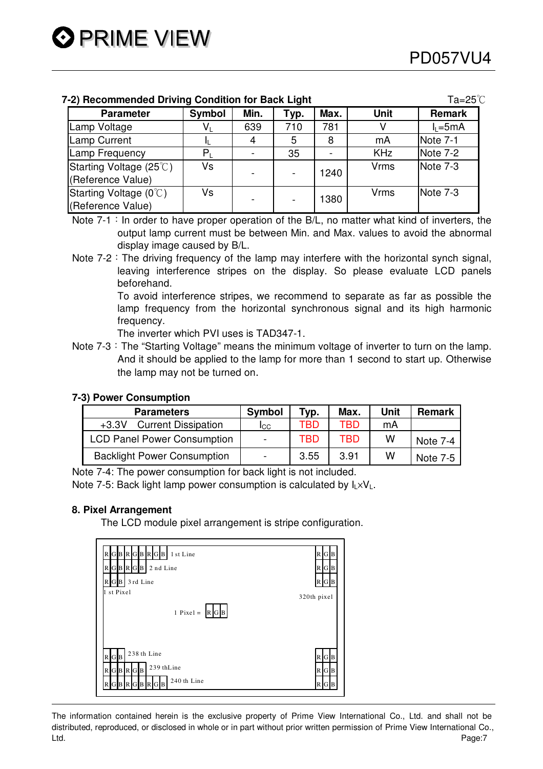#### **7-2) Recommended Driving Condition for Back Light** Ta=25#

| <b>Parameter</b>                                              | Symbol | Min. | Typ. | Max. | <b>Unit</b> | <b>Remark</b> |  |  |  |
|---------------------------------------------------------------|--------|------|------|------|-------------|---------------|--|--|--|
| Lamp Voltage                                                  | Vı     | 639  | 710  | 781  |             | $I_L = 5mA$   |  |  |  |
| <b>Lamp Current</b>                                           |        |      | 5    | 8    | mA          | Note 7-1      |  |  |  |
| <b>Lamp Frequency</b>                                         | $P_1$  |      | 35   |      | <b>KHz</b>  | Note 7-2      |  |  |  |
| Starting Voltage $(25^{\circ}\text{C})$<br>(Reference Value)  | Vs     |      |      | 1240 | <b>Vrms</b> | Note 7-3      |  |  |  |
| Starting Voltage $(0^{\circ}\mathrm{C})$<br>(Reference Value) | Vs     |      |      | 1380 | <b>Vrms</b> | Note 7-3      |  |  |  |

Note 7-1: In order to have proper operation of the B/L, no matter what kind of inverters, the output lamp current must be between Min. and Max. values to avoid the abnormal display image caused by B/L.

Note  $7-2$ : The driving frequency of the lamp may interfere with the horizontal synch signal, leaving interference stripes on the display. So please evaluate LCD panels beforehand.

To avoid interference stripes, we recommend to separate as far as possible the lamp frequency from the horizontal synchronous signal and its high harmonic frequency.

The inverter which PVI uses is TAD347-1.

Note 7-3: The "Starting Voltage" means the minimum voltage of inverter to turn on the lamp. And it should be applied to the lamp for more than 1 second to start up. Otherwise the lamp may not be turned on.

#### **7-3) Power Consumption**

| <b>Parameters</b>                     | <b>Symbol</b>            | Typ. | Max. | Unit | <b>Remark</b> |
|---------------------------------------|--------------------------|------|------|------|---------------|
| <b>Current Dissipation</b><br>$+3.3V$ | Icc                      | TBD  | TRD  | mA   |               |
| <b>LCD Panel Power Consumption</b>    | $\blacksquare$           | TBD  | TRD  | W    | Note 7-4      |
| <b>Backlight Power Consumption</b>    | $\overline{\phantom{0}}$ | 3.55 | 3.91 | W    | Note 7-5      |

Note 7-4: The power consumption for back light is not included.

Note 7-5: Back light lamp power consumption is calculated by  $I_1 \times V_1$ .

#### **8. Pixel Arrangement**

The LCD module pixel arrangement is stripe configuration.

| 1 st Line<br>$R$ G $B$ $R$ G $B$ $R$ G $B$<br>$R$ G $B$ $R$ G $B$<br>2 nd Line<br>3 rd Line<br>R G B | $R$ G $B$<br>$R$ G $B$<br>R G B                 |
|------------------------------------------------------------------------------------------------------|-------------------------------------------------|
| 1 st Pixel<br>1 Pixel = $\begin{bmatrix} R & G \end{bmatrix}$                                        | 320th pixel                                     |
| 238 th Line<br>$R$ G $B$<br>239 thLine<br>$R$ G $B$ $R$ G $B$<br>240 th Line<br><b>BRGBRGB</b><br>G  | $R$ G $B$<br>R G B<br>R <sub>l</sub><br>G.<br>R |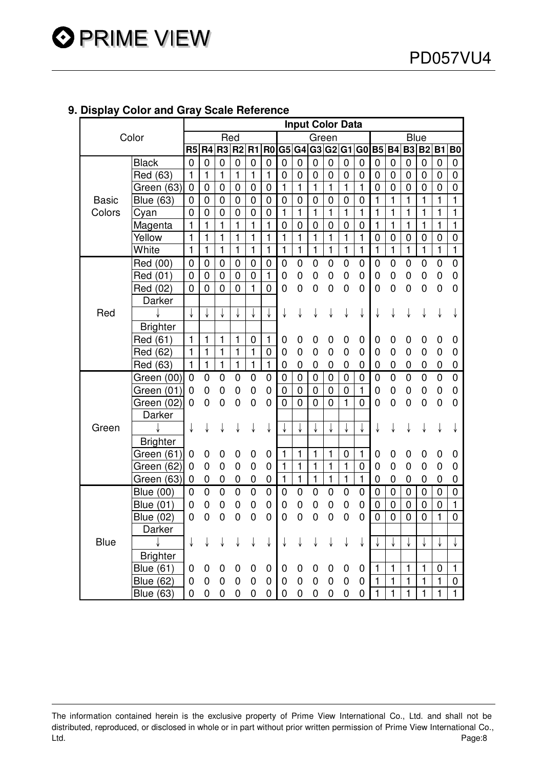## **9. Display Color and Gray Scale Reference**

|              |                  |              |              |              |                                 |              |                               |              |              |                | <b>Input Color Data</b> |              |                |              |              |              |              |              |              |
|--------------|------------------|--------------|--------------|--------------|---------------------------------|--------------|-------------------------------|--------------|--------------|----------------|-------------------------|--------------|----------------|--------------|--------------|--------------|--------------|--------------|--------------|
|              | Color            |              |              |              | Red                             |              |                               |              |              |                | Green                   |              |                |              |              |              | <b>Blue</b>  |              |              |
|              |                  |              | R5 R4        |              | $\overline{R}$ 3 R <sub>2</sub> |              | R1 R0 G5 G4 G3 G2 G1 G0 B5 B4 |              |              |                |                         |              |                |              |              | B3 B2        |              | <b>B1</b>    | <b>B0</b>    |
|              | <b>Black</b>     | 0            | $\mathbf 0$  | 0            | $\mathbf 0$                     | 0            | 0                             | 0            | 0            | 0              | 0                       | 0            | 0              | 0            | 0            | 0            | 0            | 0            | 0            |
|              | Red (63)         | $\mathbf{1}$ | $\mathbf{1}$ | $\mathbf{1}$ | 1                               | $\mathbf{1}$ | $\mathbf{1}$                  | 0            | 0            | 0              | $\mathbf 0$             | 0            | 0              | 0            | 0            | 0            | 0            | 0            | 0            |
|              | Green (63)       | $\mathbf 0$  | 0            | $\mathbf 0$  | 0                               | 0            | 0                             | $\mathbf{1}$ | $\mathbf{1}$ | $\mathbf{1}$   | 1                       | $\mathbf{1}$ | 1              | 0            | 0            | 0            | 0            | $\mathbf 0$  | 0            |
| <b>Basic</b> | Blue (63)        | 0            | $\mathbf 0$  | $\mathbf 0$  | $\mathbf 0$                     | 0            | 0                             | 0            | 0            | 0              | 0                       | 0            | 0              | $\mathbf{1}$ | $\mathbf{1}$ | $\mathbf{1}$ | $\mathbf{1}$ | $\mathbf{1}$ | 1            |
| Colors       | Cyan             | $\mathbf 0$  | 0            | $\mathbf 0$  | $\mathbf 0$                     | $\mathbf 0$  | 0                             | $\mathbf{1}$ | 1            | $\mathbf{1}$   | 1                       | $\mathbf{1}$ | $\mathbf{1}$   | 1            | $\mathbf{1}$ | $\mathbf{1}$ | $\mathbf{1}$ | $\mathbf{1}$ | $\mathbf{1}$ |
|              | Magenta          | $\mathbf{1}$ | 1            | $\mathbf{1}$ | 1                               | $\mathbf{1}$ | $\mathbf{1}$                  | 0            | 0            | 0              | $\mathbf 0$             | 0            | 0              | 1            | 1            | 1            | 1            | 1            | 1            |
|              | Yellow           | $\mathbf{1}$ | 1            | 1            | $\mathbf{1}$                    | 1            | 1                             | $\mathbf{1}$ | 1            | 1              | 1                       | 1            | $\mathbf{1}$   | 0            | 0            | 0            | 0            | 0            | $\mathbf 0$  |
|              | White            | 1            | 1            | 1            | 1                               | 1            | 1                             | $\mathbf{1}$ | 1            | 1              | 1                       | 1            | $\mathbf{1}$   | 1            | $\mathbf{1}$ | $\mathbf{1}$ | $\mathbf{1}$ | 1            | $\mathbf{1}$ |
|              | Red (00)         | $\mathbf 0$  | $\mathbf 0$  | $\mathbf 0$  | $\mathbf 0$                     | $\mathbf 0$  | $\mathbf 0$                   | 0            | 0            | $\mathbf 0$    | $\mathbf 0$             | $\mathbf 0$  | $\mathbf 0$    | 0            | 0            | $\mathbf 0$  | 0            | 0            | 0            |
|              | Red (01)         | 0            | 0            | $\mathbf 0$  | $\mathbf 0$                     | 0            | 1                             | 0            | 0            | 0              | 0                       | $\mathbf 0$  | 0              | 0            | 0            | 0            | 0            | 0            | 0            |
|              | Red (02)         | 0            | 0            | 0            | 0                               | 1            | 0                             | 0            | 0            | $\overline{0}$ | $\mathbf 0$             | 0            | $\overline{0}$ | 0            | 0            | 0            | 0            | 0            | 0            |
|              | Darker           |              |              |              |                                 |              |                               |              |              |                |                         |              |                |              |              |              |              |              |              |
| Red          |                  |              |              |              |                                 |              |                               | ↓            |              |                |                         |              | ↓              |              |              |              |              |              |              |
|              | <b>Brighter</b>  |              |              |              |                                 |              |                               |              |              |                |                         |              |                |              |              |              |              |              |              |
|              | Red (61)         | $\mathbf{1}$ | 1            | 1            | 1                               | 0            | $\mathbf{1}$                  | 0            | 0            | 0              | 0                       | 0            | 0              | 0            | 0            | 0            | 0            | 0            | 0            |
|              | Red (62)         | $\mathbf{1}$ | 1            | $\mathbf{1}$ | $\mathbf{1}$                    | 1            | $\mathbf 0$                   | 0            | 0            | 0              | 0                       | 0            | 0              | 0            | 0            | 0            | 0            | 0            | 0            |
|              | Red (63)         | $\mathbf{1}$ | $\mathbf{1}$ | 1            | $\mathbf{1}$                    | $\mathbf{1}$ | $\mathbf{1}$                  | 0            | 0            | 0              | 0                       | 0            | 0              | 0            | 0            | 0            | 0            | 0            | 0            |
|              | Green (00)       | 0            | $\mathbf 0$  | 0            | 0                               | 0            | 0                             | $\mathbf 0$  | 0            | $\mathbf 0$    | $\boldsymbol{0}$        | $\mathbf 0$  | 0              | 0            | 0            | 0            | 0            | $\mathbf 0$  | 0            |
|              | Green (01)       | 0            | 0            | 0            | 0                               | 0            | 0                             | 0            | 0            | 0              | $\mathbf 0$             | $\mathbf 0$  | 1              | 0            | 0            | 0            | 0            | 0            | 0            |
|              | Green (02)       | 0            | 0            | 0            | 0                               | 0            | 0                             | 0            | 0            | 0              | 0                       | 1            | 0              | 0            | 0            | 0            | 0            | 0            | 0            |
|              | Darker           |              |              |              |                                 |              |                               |              |              |                |                         |              |                |              |              |              |              |              |              |
| Green        |                  | ↓            |              |              |                                 |              |                               |              |              | ↓              |                         | ↓            | ↓              | ↓            |              |              |              |              |              |
|              | <b>Brighter</b>  |              |              |              |                                 |              |                               |              |              |                |                         |              |                |              |              |              |              |              |              |
|              | Green (61)       | 0            | 0            | 0            | 0                               | 0            | 0                             | 1            | 1            | 1              | 1                       | 0            | 1              | 0            | 0            | 0            | 0            | 0            | 0            |
|              | Green (62)       | 0            | 0            | 0            | 0                               | 0            | 0                             | $\mathbf{1}$ | 1            | 1              | 1                       | 1            | $\mathbf 0$    | 0            | 0            | 0            | 0            | 0            | 0            |
|              | Green (63)       | 0            | 0            | 0            | 0                               | 0            | 0                             | $\mathbf{1}$ | $\mathbf{1}$ | $\mathbf{1}$   | $\mathbf{1}$            | $\mathbf{1}$ | $\mathbf{1}$   | 0            | 0            | 0            | 0            | 0            | 0            |
|              | <b>Blue (00)</b> | 0            | 0            | 0            | 0                               | 0            | 0                             | 0            | 0            | 0              | 0                       | 0            | 0              | 0            | 0            | 0            | 0            | 0            | $\mathbf 0$  |
|              | Blue (01)        | 0            | 0            | 0            | 0                               | 0            | 0                             | 0            | 0            | 0              | 0                       | $\mathbf 0$  | 0              | 0            | 0            | 0            | 0            | $\mathbf 0$  | $\mathbf{1}$ |
|              | <b>Blue (02)</b> | 0            | 0            | 0            | 0                               | 0            | 0                             | 0            | 0            | $\mathbf 0$    | 0                       | 0            | 0              | 0            | 0            | 0            | 0            | $\mathbf{1}$ | 0            |
|              | Darker           |              |              |              |                                 |              |                               |              |              |                |                         |              |                |              |              |              |              |              |              |
| <b>Blue</b>  |                  | $\downarrow$ |              | ↓            |                                 | ↓            | ↓                             | ↓            | ↓            | ↓              |                         | ↓            | ↓              |              |              |              |              |              |              |
|              | <b>Brighter</b>  |              |              |              |                                 |              |                               |              |              |                |                         |              |                |              |              |              |              |              |              |
|              | <b>Blue (61)</b> | 0            | $\mathbf{0}$ | $\mathbf 0$  | $\mathbf 0$                     | 0            | 0                             | 0            | 0            | 0              | 0                       | 0            | 0              | 1            | 1            | $\mathbf{1}$ | $\mathbf{1}$ | 0            | 1            |
|              | <b>Blue (62)</b> | 0            | 0            | 0            | $\pmb{0}$                       | $\pmb{0}$    | 0                             | $\mathbf 0$  | 0            | 0              | $\mathbf 0$             | 0            | 0              | 1            | 1            | 1            | $\mathbf{1}$ | $\mathbf{1}$ | $\mathbf 0$  |
|              | <b>Blue (63)</b> | 0            | $\mathbf{0}$ | $\mathbf 0$  | 0                               | 0            | 0                             | 0            | 0            | 0              | 0                       | 0            | 0              | 1            | 1            | 1            | 1            | 1            | 1            |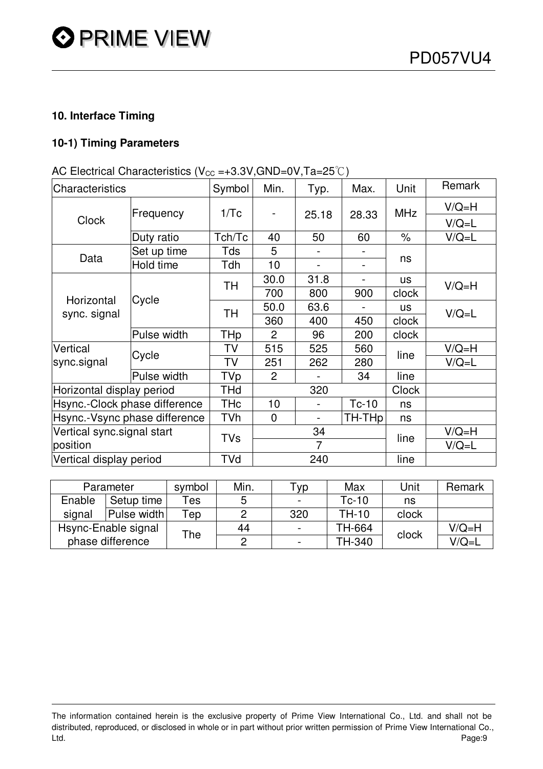## **10. Interface Timing**

## **10-1) Timing Parameters**

| Characteristics               |                               | Symbol     | Min.           | Typ.  | Max.                         | Unit         | Remark    |
|-------------------------------|-------------------------------|------------|----------------|-------|------------------------------|--------------|-----------|
|                               |                               | 1/Tc       |                |       |                              | <b>MHz</b>   | $V/Q=H$   |
| <b>Clock</b>                  | Frequency                     |            |                | 25.18 | 28.33                        |              | $V/Q = L$ |
|                               | Duty ratio                    | Tch/Tc     | 40             | 50    | 60                           | $\%$         | $V/Q = L$ |
|                               | Set up time                   | Tds        | 5              |       |                              |              |           |
| Data                          | Hold time                     | Tdh        | 10             |       |                              | ns           |           |
|                               |                               | <b>TH</b>  | 30.0           | 31.8  | $\qquad \qquad \blacksquare$ | <b>us</b>    | $V/Q=H$   |
| Horizontal                    | Cycle                         |            | 700            | 800   | 900                          | clock        |           |
|                               |                               | <b>TH</b>  | 50.0           | 63.6  |                              | <b>us</b>    | $V/Q = L$ |
| sync. signal                  |                               |            | 360            | 400   | 450                          | clock        |           |
|                               | Pulse width                   | THp        | $\overline{2}$ | 96    | 200                          | clock        |           |
| Vertical                      |                               | <b>TV</b>  | 515            | 525   | 560                          | line         | $V/Q=H$   |
| sync.signal                   | Cycle                         | TV         | 251            | 262   | 280                          |              | $V/Q = L$ |
|                               | Pulse width                   | TVp        | $\overline{2}$ |       | 34                           | line         |           |
| Horizontal display period     |                               | THd        |                | 320   |                              | <b>Clock</b> |           |
|                               | Hsync.-Clock phase difference | <b>THc</b> | 10             |       | $Tc-10$                      | ns           |           |
| Hsync.-Vsync phase difference |                               | TVh        | 0              |       | TH-THp                       | ns           |           |
| Vertical sync.signal start    |                               |            |                | 34    |                              |              | $V/Q=H$   |
| position                      | <b>TVs</b>                    |            | $\overline{7}$ |       | line                         | $V/Q = L$    |           |
| Vertical display period       |                               | <b>TVd</b> |                | 240   |                              | line         |           |
|                               |                               |            |                |       |                              |              |           |

#### AC Electrical Characteristics ( $V_{CC} = +3.3V$ , GND=0V, Ta=25°C)

| Parameter           |             | symbol | Min. | -yp                          | Max          | Unit  | Remark    |
|---------------------|-------------|--------|------|------------------------------|--------------|-------|-----------|
| Enable              | Setup time  | Tes    | 5    | $\overline{\phantom{0}}$     | $Tc-10$      | ns    |           |
| signal              | Pulse width | 「ep    |      | 320                          | <b>TH-10</b> | clock |           |
| Hsync-Enable signal |             | The    | 44   |                              | TH-664       | clock | $V/Q=H$   |
| phase difference    |             |        |      | $\qquad \qquad \blacksquare$ | TH-340       |       | $V/Q = L$ |

The information contained herein is the exclusive property of Prime View International Co., Ltd. and shall not be distributed, reproduced, or disclosed in whole or in part without prior written permission of Prime View International Co., Ltd. Page:9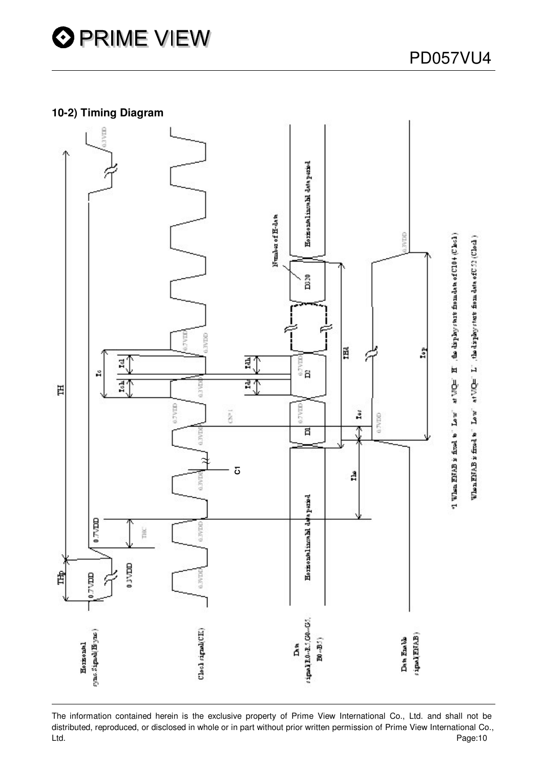

## PD057VU4

## **10-2) Timing Diagram**



The information contained herein is the exclusive property of Prime View International Co., Ltd. and shall not be distributed, reproduced, or disclosed in whole or in part without prior written permission of Prime View International Co., Ltd. Page:10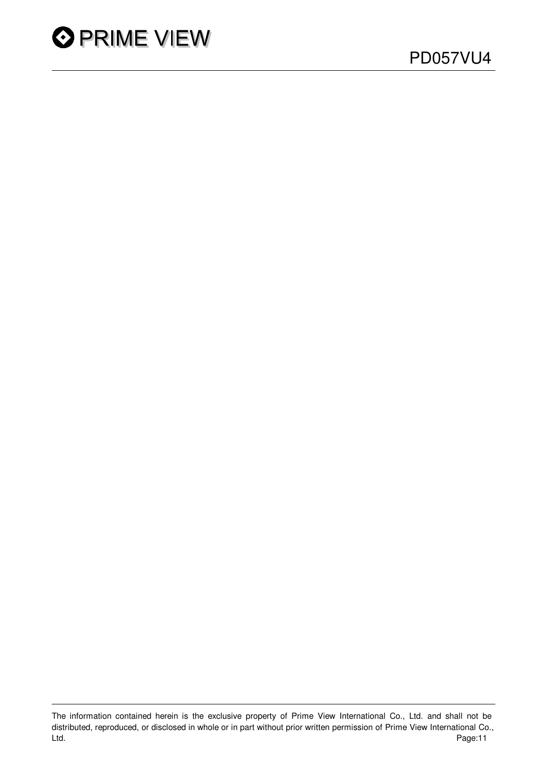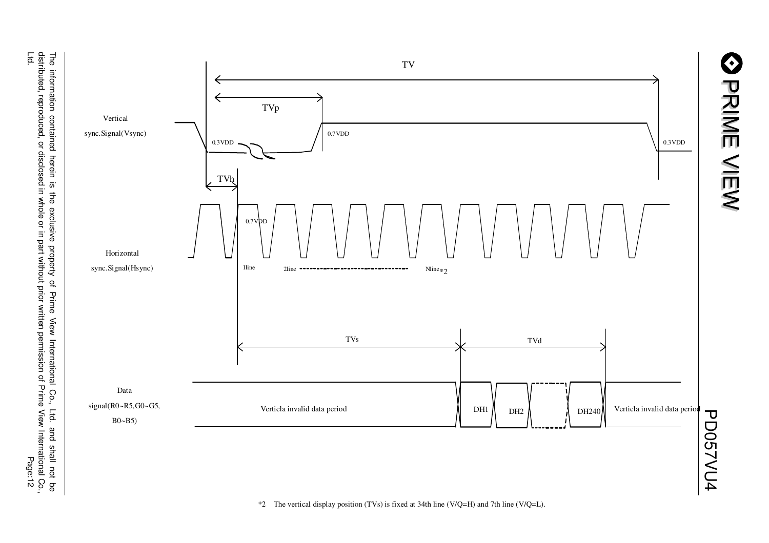

part prior permission Co., Page:12

lti<br>E

\*2 The vertical display position (TVs) is fixed at 34th line (V/Q=H) and 7th line (V/Q=L).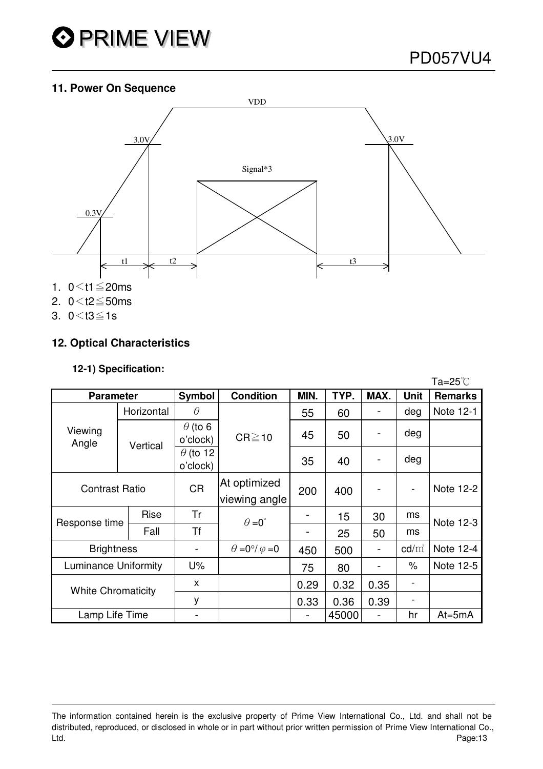

## **11. Power On Sequence**



3.  $0 < t3 \le 1s$ 

## **12. Optical Characteristics**

## **12-1) Specification:**

|                             |            |                             |                                  |      |       |                          |                          | Ta=25 $°C$     |
|-----------------------------|------------|-----------------------------|----------------------------------|------|-------|--------------------------|--------------------------|----------------|
| <b>Parameter</b>            |            | Symbol                      | <b>Condition</b>                 | MIN. | TYP.  | MAX.                     | <b>Unit</b>              | <b>Remarks</b> |
|                             | Horizontal | θ                           | $CR \ge 10$                      | 55   | 60    |                          | deg                      | Note 12-1      |
| Viewing<br>Angle            | Vertical   | $\theta$ (to 6<br>o'clock)  |                                  | 45   | 50    | $\overline{\phantom{a}}$ | deg                      |                |
|                             |            | $\theta$ (to 12<br>o'clock) |                                  | 35   | 40    |                          | deg                      |                |
| <b>Contrast Ratio</b>       |            | <b>CR</b>                   | At optimized<br>viewing angle    | 200  | 400   |                          | $\overline{\phantom{a}}$ | Note 12-2      |
|                             | Rise       | Tr                          | $\theta = 0^{\circ}$             |      | 15    | 30                       | ms                       | Note 12-3      |
| Response time               | Fall       | <b>Tf</b>                   |                                  |      | 25    | 50                       | ms                       |                |
| <b>Brightness</b>           |            | $\blacksquare$              | $\theta = 0^{\circ}/\varphi = 0$ | 450  | 500   |                          | $\text{cd/m}^2$          | Note 12-4      |
| <b>Luminance Uniformity</b> |            | U%                          |                                  | 75   | 80    |                          | $\%$                     | Note 12-5      |
|                             |            | X                           |                                  | 0.29 | 0.32  | 0.35                     | $\blacksquare$           |                |
| <b>White Chromaticity</b>   |            | y                           |                                  | 0.33 | 0.36  | 0.39                     | $\qquad \qquad$          |                |
| Lamp Life Time              |            |                             |                                  |      | 45000 |                          | hr                       | $At=5mA$       |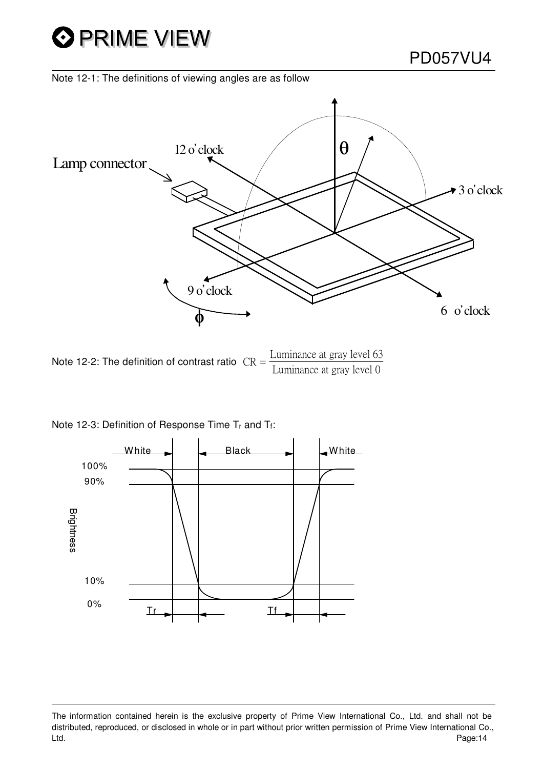

Note 12-1: The definitions of viewing angles are as follow



Note 12-2: The definition of contrast ratio  $CR = \frac{Luminance at gray level 63}{L}$ Luminance at gray level 0



Note 12-3: Definition of Response Time Tr and Tf:

The information contained herein is the exclusive property of Prime View International Co., Ltd. and shall not be distributed, reproduced, or disclosed in whole or in part without prior written permission of Prime View International Co., Ltd. Page:14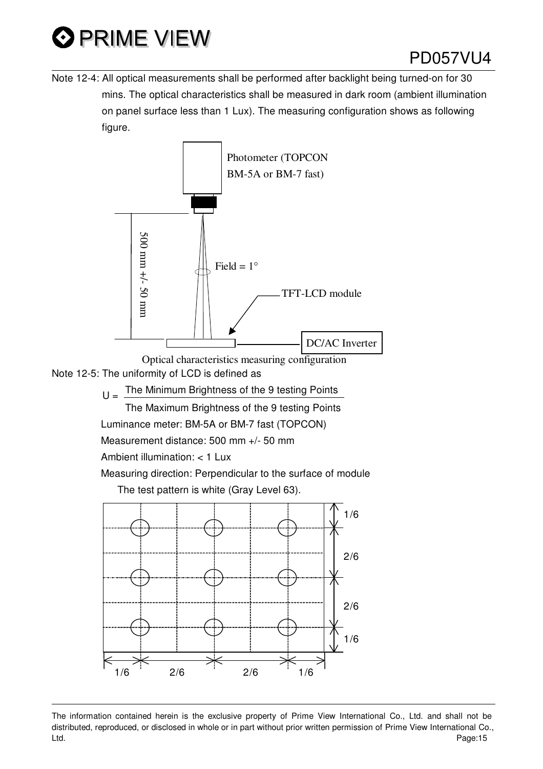

Note 12-4: All optical measurements shall be performed after backlight being turned-on for 30 mins. The optical characteristics shall be measured in dark room (ambient illumination on panel surface less than 1 Lux). The measuring configuration shows as following figure.



Optical characteristics measuring configuration

Note 12-5: The uniformity of LCD is defined as

 $U =$  The Minimum Brightness of the 9 testing Points

The Maximum Brightness of the 9 testing Points

Luminance meter: BM-5A or BM-7 fast (TOPCON)

Measurement distance: 500 mm +/- 50 mm

Ambient illumination: < 1 Lux

Measuring direction: Perpendicular to the surface of module

The test pattern is white (Gray Level 63).



The information contained herein is the exclusive property of Prime View International Co., Ltd. and shall not be distributed, reproduced, or disclosed in whole or in part without prior written permission of Prime View International Co., Ltd. Page:15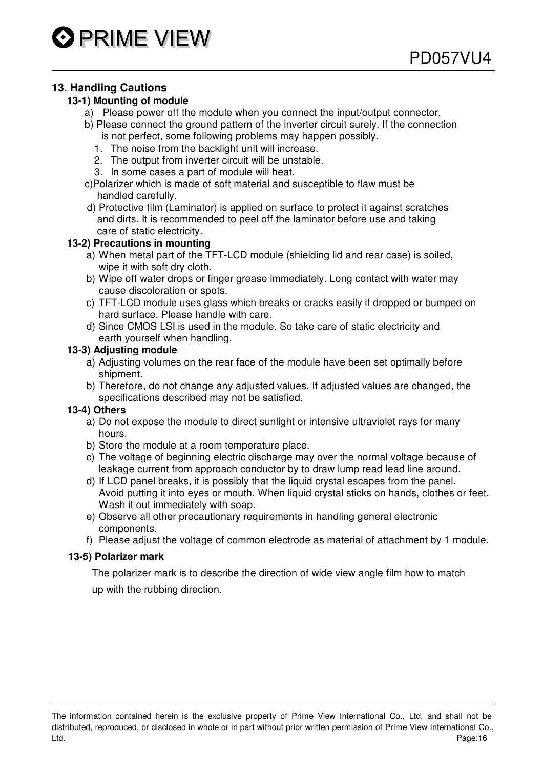## **13. Handling Cautions**

## **13-1) Mounting of module**

- a) Please power off the module when you connect the input/output connector.
- b) Please connect the ground pattern of the inverter circuit surely. If the connection is not perfect, some following problems may happen possibly.
	- 1. The noise from the backlight unit will increase.
	- 2. The output from inverter circuit will be unstable.
	- 3. In some cases a part of module will heat.
- c)Polarizer which is made of soft material and susceptible to flaw must be handled carefully.
- d) Protective film (Laminator) is applied on surface to protect it against scratches and dirts. It is recommended to peel off the laminator before use and taking care of static electricity.

## **13-2) Precautions in mounting**

- a) When metal part of the TFT-LCD module (shielding lid and rear case) is soiled, wipe it with soft dry cloth.
- b) Wipe off water drops or finger grease immediately. Long contact with water may cause discoloration or spots.
- c) TFT-LCD module uses glass which breaks or cracks easily if dropped or bumped on hard surface. Please handle with care.
- d) Since CMOS LSI is used in the module. So take care of static electricity and earth yourself when handling.

## **13-3) Adjusting module**

- a) Adjusting volumes on the rear face of the module have been set optimally before shipment.
- b) Therefore, do not change any adjusted values. If adjusted values are changed, the specifications described may not be satisfied.

## **13-4) Others**

- a) Do not expose the module to direct sunlight or intensive ultraviolet rays for many hours.
- b) Store the module at a room temperature place.
- c) The voltage of beginning electric discharge may over the normal voltage because of leakage current from approach conductor by to draw lump read lead line around.
- d) If LCD panel breaks, it is possibly that the liquid crystal escapes from the panel. Avoid putting it into eyes or mouth. When liquid crystal sticks on hands, clothes or feet. Wash it out immediately with soap.
- e) Observe all other precautionary requirements in handling general electronic components.
- f) Please adjust the voltage of common electrode as material of attachment by 1 module.

## **13-5) Polarizer mark**

The polarizer mark is to describe the direction of wide view angle film how to match up with the rubbing direction.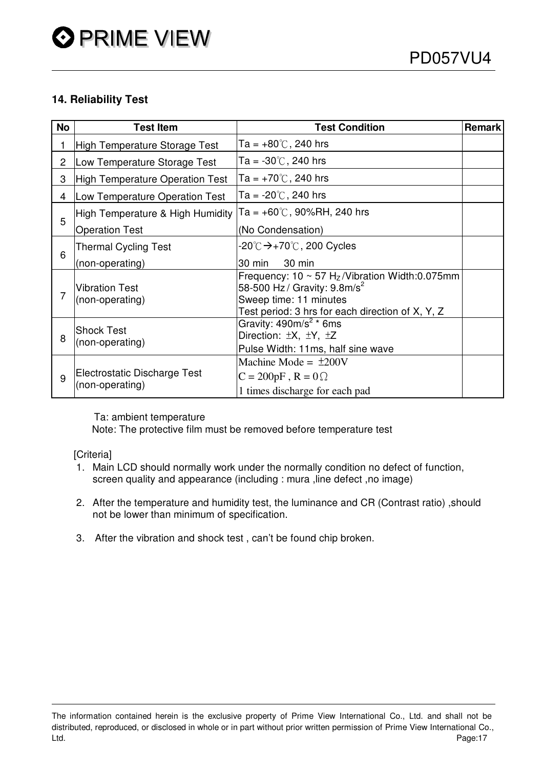## **14. Reliability Test**

| <b>No</b>      | <b>Test Item</b>                                | <b>Test Condition</b>                                                                                                                                                                     | <b>Remark</b> |
|----------------|-------------------------------------------------|-------------------------------------------------------------------------------------------------------------------------------------------------------------------------------------------|---------------|
| 1              | High Temperature Storage Test                   | Ta = $+80^{\circ}$ C, 240 hrs                                                                                                                                                             |               |
| $\overline{c}$ | Low Temperature Storage Test                    | Ta = -30 $\degree$ C, 240 hrs                                                                                                                                                             |               |
| 3              | High Temperature Operation Test                 | Ta = $+70^{\circ}$ C, 240 hrs                                                                                                                                                             |               |
| 4              | Low Temperature Operation Test                  | Ta = $-20^{\circ}$ C, 240 hrs                                                                                                                                                             |               |
|                | High Temperature & High Humidity                | Ta = $+60^{\circ}$ C, 90%RH, 240 hrs                                                                                                                                                      |               |
| 5              | <b>Operation Test</b>                           | (No Condensation)                                                                                                                                                                         |               |
|                | <b>Thermal Cycling Test</b>                     | -20℃ <del>&gt;</del> +70℃, 200 Cycles                                                                                                                                                     |               |
| 6              | (non-operating)                                 | 30 min<br>30 min                                                                                                                                                                          |               |
|                | <b>Vibration Test</b><br>(non-operating)        | Frequency: $10 \sim 57$ H <sub>z</sub> /Vibration Width:0.075mm<br>58-500 Hz / Gravity: 9.8m/s <sup>2</sup><br>Sweep time: 11 minutes<br>Test period: 3 hrs for each direction of X, Y, Z |               |
| 8              | <b>Shock Test</b><br>(non-operating)            | Gravity: $490m/s^2$ * 6ms<br>Direction: ±X, ±Y, ±Z<br>Pulse Width: 11ms, half sine wave                                                                                                   |               |
| 9              | Electrostatic Discharge Test<br>(non-operating) | Machine Mode = $\pm 200V$<br>$C = 200pF$ , $R = 0$<br>1 times discharge for each pad                                                                                                      |               |

Ta: ambient temperature

Note: The protective film must be removed before temperature test

[Criteria]

- 1. Main LCD should normally work under the normally condition no defect of function, screen quality and appearance (including : mura , line defect , no image)
- 2. After the temperature and humidity test, the luminance and CR (Contrast ratio) ,should not be lower than minimum of specification.
- 3. After the vibration and shock test , can't be found chip broken.

The information contained herein is the exclusive property of Prime View International Co., Ltd. and shall not be distributed, reproduced, or disclosed in whole or in part without prior written permission of Prime View International Co., Ltd. Page:17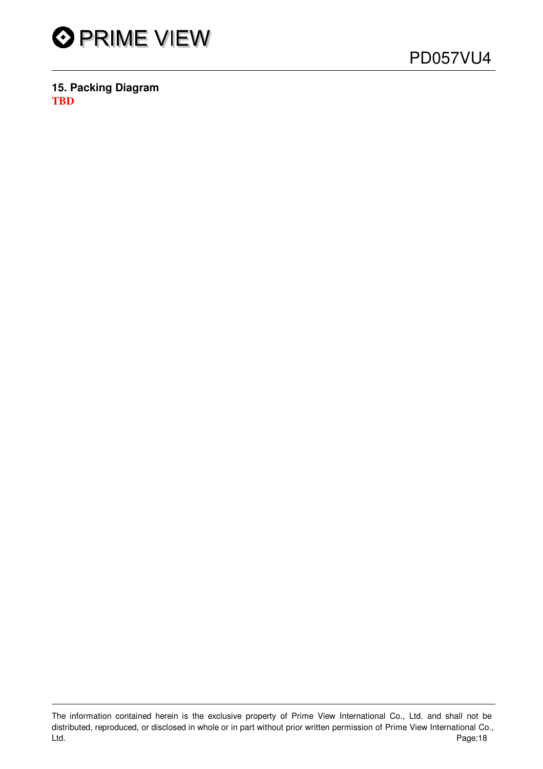

**15. Packing Diagram TBD**

The information contained herein is the exclusive property of Prime View International Co., Ltd. and shall not be distributed, reproduced, or disclosed in whole or in part without prior written permission of Prime View International Co., Ltd. Page:18